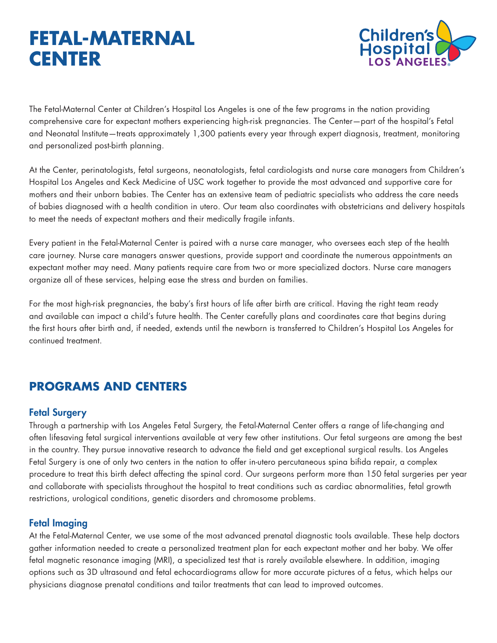# **FETAL-MATERNAL CENTER**



The Fetal-Maternal Center at Children's Hospital Los Angeles is one of the few programs in the nation providing comprehensive care for expectant mothers experiencing high-risk pregnancies. The Center—part of the hospital's Fetal and Neonatal Institute—treats approximately 1,300 patients every year through expert diagnosis, treatment, monitoring and personalized post-birth planning.

At the Center, perinatologists, fetal surgeons, neonatologists, fetal cardiologists and nurse care managers from Children's Hospital Los Angeles and Keck Medicine of USC work together to provide the most advanced and supportive care for mothers and their unborn babies. The Center has an extensive team of pediatric specialists who address the care needs of babies diagnosed with a health condition in utero. Our team also coordinates with obstetricians and delivery hospitals to meet the needs of expectant mothers and their medically fragile infants.

Every patient in the Fetal-Maternal Center is paired with a nurse care manager, who oversees each step of the health care journey. Nurse care managers answer questions, provide support and coordinate the numerous appointments an expectant mother may need. Many patients require care from two or more specialized doctors. Nurse care managers organize all of these services, helping ease the stress and burden on families.

For the most high-risk pregnancies, the baby's first hours of life after birth are critical. Having the right team ready and available can impact a child's future health. The Center carefully plans and coordinates care that begins during the first hours after birth and, if needed, extends until the newborn is transferred to Children's Hospital Los Angeles for continued treatment.

# **PROGRAMS AND CENTERS**

## Fetal Surgery

Through a partnership with Los Angeles Fetal Surgery, the Fetal-Maternal Center offers a range of life-changing and often lifesaving fetal surgical interventions available at very few other institutions. Our fetal surgeons are among the best in the country. They pursue innovative research to advance the field and get exceptional surgical results. Los Angeles Fetal Surgery is one of only two centers in the nation to offer in-utero percutaneous spina bifida repair, a complex procedure to treat this birth defect affecting the spinal cord. Our surgeons perform more than 150 fetal surgeries per year and collaborate with specialists throughout the hospital to treat conditions such as cardiac abnormalities, fetal growth restrictions, urological conditions, genetic disorders and chromosome problems.

## Fetal Imaging

At the Fetal-Maternal Center, we use some of the most advanced prenatal diagnostic tools available. These help doctors gather information needed to create a personalized treatment plan for each expectant mother and her baby. We offer fetal magnetic resonance imaging (MRI), a specialized test that is rarely available elsewhere. In addition, imaging options such as 3D ultrasound and fetal echocardiograms allow for more accurate pictures of a fetus, which helps our physicians diagnose prenatal conditions and tailor treatments that can lead to improved outcomes.